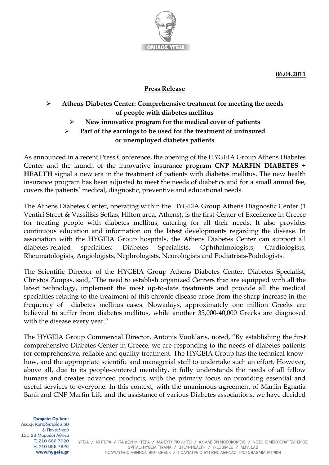

 **06.04.2011**

## **Press Release**

## **Athens Diabetes Center: Comprehensive treatment for meeting the needs of people with diabetes mellitus**

## **New innovative program for the medical cover of patients**

## **Part of the earnings to be used for the treatment of uninsured or unemployed diabetes patients**

As announced in a recent Press Conference, the opening of the HYGEIA Group Athens Diabetes Center and the launch of the innovative insurance program **CNP MARFIN DIABETES + HEALTH** signal a new era in the treatment of patients with diabetes mellitus. The new health insurance program has been adjusted to meet the needs of diabetics and for a small annual fee, covers the patients' medical, diagnostic, preventive and educational needs.

The Athens Diabetes Center, operating within the HYGEIA Group Athens Diagnostic Center (1 Ventiri Street & Vassilisis Sofias, Hilton area, Athens), is the first Center of Excellence in Greece for treating people with diabetes mellitus, catering for all their needs. It also provides continuous education and information on the latest developments regarding the disease. In association with the HYGEIA Group hospitals, the Athens Diabetes Center can support all diabetes-related specialties: Diabetes Specialists, Ophthalmologists, Cardiologists, Rheumatologists, Angiologists, Nephrologists, Neurologists and Podiatrists-Podologists.

The Scientific Director of the HYGEIA Group Athens Diabetes Center, Diabetes Specialist, Christos Zoupas, said, "The need to establish organized Centers that are equipped with all the latest technology, implement the most up-to-date treatments and provide all the medical specialties relating to the treatment of this chronic disease arose from the sharp increase in the frequency of diabetes mellitus cases. Nowadays, approximately one million Greeks are believed to suffer from diabetes mellitus, while another 35,000-40,000 Greeks are diagnosed with the disease every year."

The HYGEIA Group Commercial Director, Antonis Vouklaris, noted, "By establishing the first comprehensive Diabetes Center in Greece, we are responding to the needs of diabetes patients for comprehensive, reliable and quality treatment. The HYGEIA Group has the technical knowhow, and the appropriate scientific and managerial staff to undertake such an effort. However, above all, due to its people-centered mentality, it fully understands the needs of all fellow humans and creates advanced products, with the primary focus on providing essential and useful services to everyone. In this context, with the unanimous agreement of Marfin Egnatia Bank and CNP Marfin Life and the assistance of various Diabetes associations, we have decided

Γραφεία Ομίλου: Λεωφ. Καποδιστρίου 30 & Πεντελικού 151 23 Μαρούσι Αθήνα T. 210 686 7020 F. 210 686 7626 www.hygeia.gr